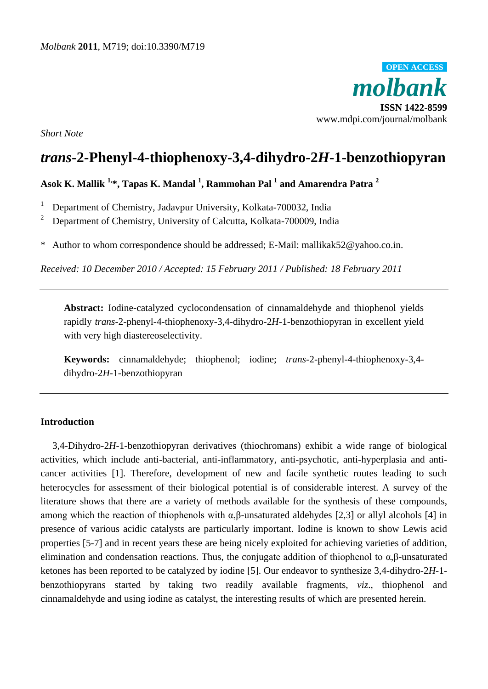

*Short Note*

# *trans***-2-Phenyl-4-thiophenoxy-3,4-dihydro-2***H***-1-benzothiopyran**

## **Asok K. Mallik 1, \*, Tapas K. Mandal <sup>1</sup> , Rammohan Pal <sup>1</sup> and Amarendra Patra <sup>2</sup>**

- <sup>1</sup> Department of Chemistry, Jadavpur University, Kolkata-700032, India
- <sup>2</sup> Department of Chemistry, University of Calcutta, Kolkata-700009, India
- \* Author to whom correspondence should be addressed; E-Mail: mallikak52@yahoo.co.in.

*Received: 10 December 2010 / Accepted: 15 February 2011 / Published: 18 February 2011*

**Abstract:** Iodine-catalyzed cyclocondensation of cinnamaldehyde and thiophenol yields rapidly *trans*-2-phenyl-4-thiophenoxy-3,4-dihydro-2*H*-1-benzothiopyran in excellent yield with very high diastereoselectivity.

**Keywords:** cinnamaldehyde; thiophenol; iodine; *trans*-2-phenyl-4-thiophenoxy-3,4 dihydro-2*H*-1-benzothiopyran

#### **Introduction**

3,4-Dihydro-2*H*-1-benzothiopyran derivatives (thiochromans) exhibit a wide range of biological activities, which include anti-bacterial, anti-inflammatory, anti-psychotic, anti-hyperplasia and anticancer activities [1]. Therefore, development of new and facile synthetic routes leading to such heterocycles for assessment of their biological potential is of considerable interest. A survey of the literature shows that there are a variety of methods available for the synthesis of these compounds, among which the reaction of thiophenols with  $\alpha$ ,β-unsaturated aldehydes [2,3] or allyl alcohols [4] in presence of various acidic catalysts are particularly important. Iodine is known to show Lewis acid properties [5-7] and in recent years these are being nicely exploited for achieving varieties of addition, elimination and condensation reactions. Thus, the conjugate addition of thiophenol to  $\alpha$ , $\beta$ -unsaturated ketones has been reported to be catalyzed by iodine [5]. Our endeavor to synthesize 3,4-dihydro-2*H*-1 benzothiopyrans started by taking two readily available fragments, *viz*., thiophenol and cinnamaldehyde and using iodine as catalyst, the interesting results of which are presented herein.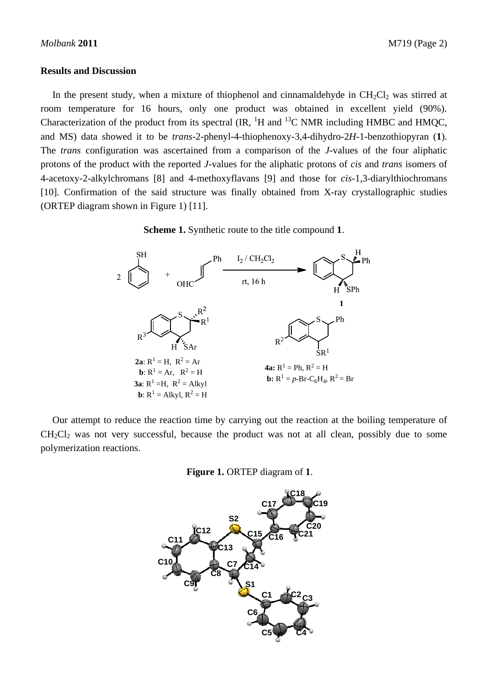#### **Results and Discussion**

In the present study, when a mixture of thiophenol and cinnamaldehyde in  $CH_2Cl_2$  was stirred at room temperature for 16 hours, only one product was obtained in excellent yield (90%). Characterization of the product from its spectral  $\rm (IR,$   $\rm ^1H$  and  $\rm ^{13}C$  NMR including HMBC and HMOC, and MS) data showed it to be *trans*-2-phenyl-4-thiophenoxy-3,4-dihydro-2*H*-1-benzothiopyran (**1**). The *trans* configuration was ascertained from a comparison of the *J*-values of the four aliphatic protons of the product with the reported *J*-values for the aliphatic protons of *cis* and *trans* isomers of 4-acetoxy-2-alkylchromans [8] and 4-methoxyflavans [9] and those for *cis*-1,3-diarylthiochromans [10]. Confirmation of the said structure was finally obtained from X-ray crystallographic studies (ORTEP diagram shown in Figure 1) [11].

**Scheme 1.** Synthetic route to the title compound **1**.



Our attempt to reduce the reaction time by carrying out the reaction at the boiling temperature of  $CH<sub>2</sub>Cl<sub>2</sub>$  was not very successful, because the product was not at all clean, possibly due to some polymerization reactions.

**Figure 1.** ORTEP diagram of **1**.

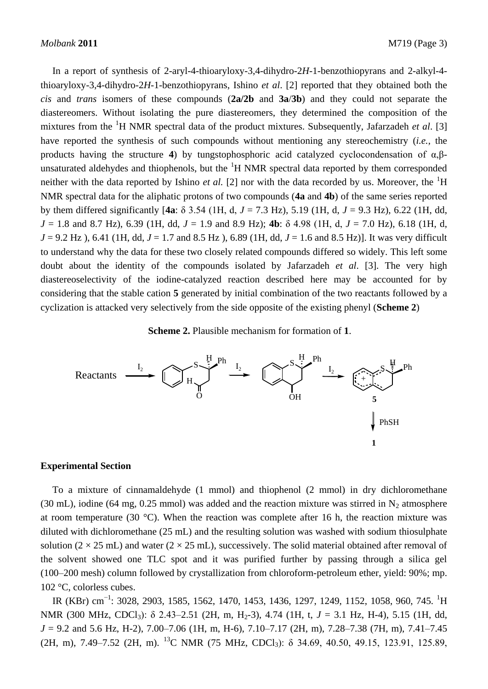In a report of synthesis of 2-aryl-4-thioaryloxy-3,4-dihydro-2*H*-1-benzothiopyrans and 2-alkyl-4 thioaryloxy-3,4-dihydro-2*H*-1-benzothiopyrans, Ishino *et al*. [2] reported that they obtained both the *cis* and *trans* isomers of these compounds (**2a/2b** and **3a**/**3b**) and they could not separate the diastereomers. Without isolating the pure diastereomers, they determined the composition of the mixtures from the <sup>1</sup>H NMR spectral data of the product mixtures. Subsequently, Jafarzadeh *et al*. [3] have reported the synthesis of such compounds without mentioning any stereochemistry (*i.e.,* the products having the structure **4**) by tungstophosphoric acid catalyzed cyclocondensation of α,βunsaturated aldehydes and thiophenols, but the  ${}^{1}H$  NMR spectral data reported by them corresponded neither with the data reported by Ishino *et al.* [2] nor with the data recorded by us. Moreover, the  ${}^{1}H$ NMR spectral data for the aliphatic protons of two compounds (**4a** and **4b**) of the same series reported by them differed significantly [**4a**: δ 3.54 (1H, d, *J* = 7.3 Hz), 5.19 (1H, d, *J* = 9.3 Hz), 6.22 (1H, dd, *J* = 1.8 and 8.7 Hz), 6.39 (1H, dd, *J* = 1.9 and 8.9 Hz); **4b**: δ 4.98 (1H, d, *J* = 7.0 Hz), 6.18 (1H, d, *J* = 9.2 Hz ), 6.41 (1H, dd, *J* = 1.7 and 8.5 Hz ), 6.89 (1H, dd, *J* = 1.6 and 8.5 Hz)]. It was very difficult to understand why the data for these two closely related compounds differed so widely. This left some doubt about the identity of the compounds isolated by Jafarzadeh *et al*. [3]. The very high diastereoselectivity of the iodine-catalyzed reaction described here may be accounted for by considering that the stable cation **5** generated by initial combination of the two reactants followed by a cyclization is attacked very selectively from the side opposite of the existing phenyl (**Scheme 2**)

#### **Scheme 2.** Plausible mechanism for formation of **1**.



#### **Experimental Section**

To a mixture of cinnamaldehyde (1 mmol) and thiophenol (2 mmol) in dry dichloromethane (30 mL), iodine (64 mg, 0.25 mmol) was added and the reaction mixture was stirred in  $N_2$  atmosphere at room temperature (30 °C). When the reaction was complete after 16 h, the reaction mixture was diluted with dichloromethane (25 mL) and the resulting solution was washed with sodium thiosulphate solution ( $2 \times 25$  mL) and water ( $2 \times 25$  mL), successively. The solid material obtained after removal of the solvent showed one TLC spot and it was purified further by passing through a silica gel (100–200 mesh) column followed by crystallization from chloroform-petroleum ether, yield: 90%; mp. 102 °C, colorless cubes. Reactants  $\frac{1}{12}$  C, example and Section<br>
To a mixture of cinnamaldehyde (1 mmol) and thiophenol (2 mmol) in dry dichloromethane<br>
(30 mL), iodine (64 mg, 0.25 mmol) was added and the reaction mixture was stirred in N<sub>2</sub>

IR (KBr) cm<sup>-1</sup>: 3028, 2903, 1585, 1562, 1470, 1453, 1436, 1297, 1249, 1152, 1058, 960, 745. <sup>1</sup>H NMR (300 MHz, CDCl<sub>3</sub>): δ 2.43–2.51 (2H, m, H<sub>2</sub>-3), 4.74 (1H, t, *J* = 3.1 Hz, H-4), 5.15 (1H, dd, *J* = 9.2 and 5.6 Hz, H-2), 7.00–7.06 (1H, m, H-6), 7.10–7.17 (2H, m), 7.28–7.38 (7H, m), 7.41–7.45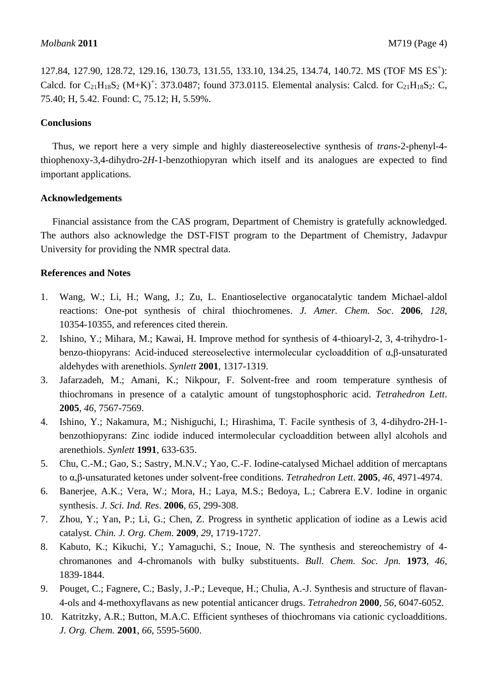127.84, 127.90, 128.72, 129.16, 130.73, 131.55, 133.10, 134.25, 134.74, 140.72. MS (TOF MS ES<sup>+</sup>): Calcd. for  $C_{21}H_{18}S_2$  (M+K)<sup>+</sup>: 373.0487; found 373.0115. Elemental analysis: Calcd. for  $C_{21}H_{18}S_2$ : C, 75.40; H, 5.42. Found: C, 75.12; H, 5.59%.

## **Conclusions**

Thus, we report here a very simple and highly diastereoselective synthesis of *trans*-2-phenyl-4 thiophenoxy-3,4-dihydro-2*H*-1-benzothiopyran which itself and its analogues are expected to find important applications.

## **Acknowledgements**

Financial assistance from the CAS program, Department of Chemistry is gratefully acknowledged. The authors also acknowledge the DST-FIST program to the Department of Chemistry, Jadavpur University for providing the NMR spectral data.

## **References and Notes**

- 1. Wang, W.; Li, H.; Wang, J.; Zu, L. Enantioselective organocatalytic tandem Michael-aldol reactions: One-pot synthesis of chiral thiochromenes. *J. Amer. Chem. Soc*. **2006**, *128*, 10354-10355, and references cited therein.
- 2. Ishino, Y.; Mihara, M.; Kawai, H. Improve method for synthesis of 4-thioaryl-2, 3, 4-trihydro-1 benzo-thiopyrans: Acid-induced stereoselective intermolecular cycloaddition of α,β-unsaturated aldehydes with arenethiols. *Synlett* **2001**, 1317-1319.
- 3. Jafarzadeh, M.; Amani, K.; Nikpour, F. Solvent-free and room temperature synthesis of thiochromans in presence of a catalytic amount of tungstophosphoric acid. *Tetrahedron Lett*. **2005**, *46*, 7567-7569.
- 4. Ishino, Y.; Nakamura, M.; Nishiguchi, I.; Hirashima, T. Facile synthesis of 3, 4-dihydro-2H-1 benzothiopyrans: Zinc iodide induced intermolecular cycloaddition between allyl alcohols and arenethiols. *Synlett* **1991**, 633-635.
- 5. Chu, C.-M.; Gao, S.; Sastry, M.N.V.; Yao, C.-F. Iodine-catalysed Michael addition of mercaptans to α,β-unsaturated ketones under solvent-free conditions. *Tetrahedron Lett*. **2005**, *46*, 4971-4974.
- 6. Banerjee, A.K.; Vera, W.; Mora, H.; Laya, M.S.; Bedoya, L.; Cabrera E.V. Iodine in organic synthesis. *J. Sci. Ind. Res*. **2006**, *65*, 299-308.
- 7. Zhou, Y.; Yan, P.; Li, G.; Chen, Z. Progress in synthetic application of iodine as a Lewis acid catalyst. *Chin. J. Org. Chem*. **2009**, *29*, 1719-1727.
- 8. Kabuto, K.; Kikuchi, Y.; Yamaguchi, S.; Inoue, N. The synthesis and stereochemistry of 4 chromanones and 4-chromanols with bulky substituents. *Bull. Chem. Soc. Jpn.* **1973**, *46*, 1839-1844.
- 9. Pouget, C.; Fagnere, C.; Basly, J.-P.; Leveque, H.; Chulia, A.-J. Synthesis and structure of flavan-4-ols and 4-methoxyflavans as new potential anticancer drugs. *Tetrahedron* **2000**, *56*, 6047-6052.
- 10. Katritzky, A.R.; Button, M.A.C. Efficient syntheses of thiochromans via cationic cycloadditions. *J. Org. Chem.* **2001**, *66*, 5595-5600.